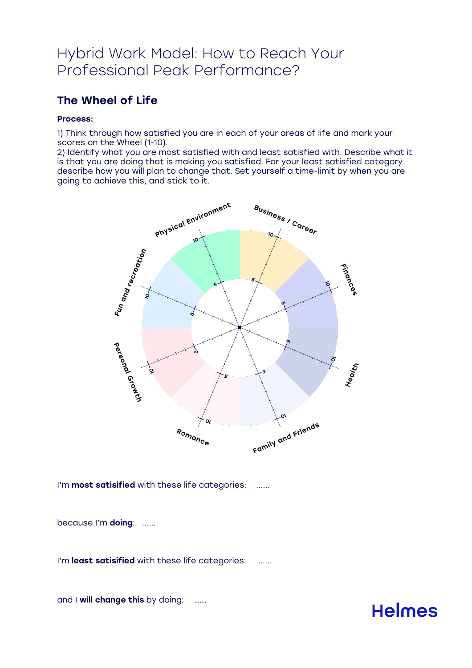# Hybrid Work Model: How to Reach Your Professional Peak Performance?

## The Wheel of Life

#### Process:

1) Think through how satisfied you are in each of your areas of life and mark your scores on the Wheel (1-10).

2) Identify what you are most satisfied with and least satisfied with. Describe what it is that you are doing that is making you satisfied. For your least satisfied category describe how you will plan to change that. Set yourself a time-limit by when you are going to achieve this, and stick to it.



I'm most satisified with these life categories: ......

because I'm doing: ......

I'm least satisified with these life categories: ......

and I will change this by doing: .......